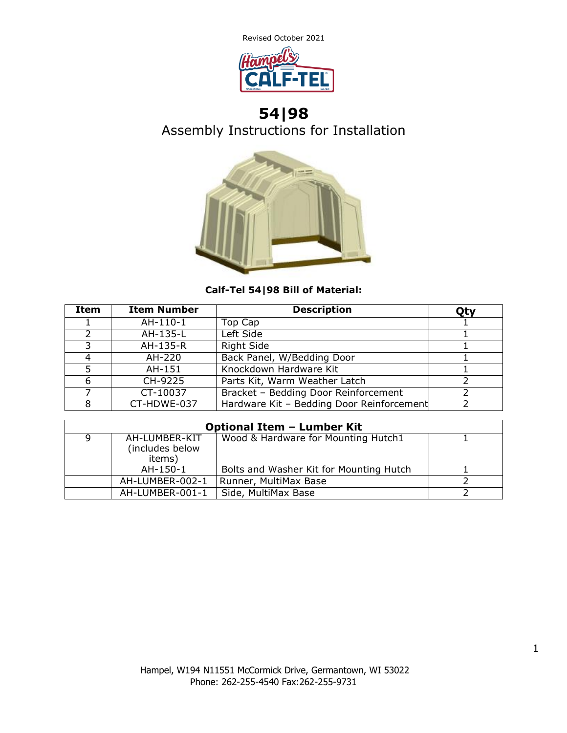

# **54|98** Assembly Instructions for Installation



### **Calf-Tel 54|98 Bill of Material:**

| Item | <b>Item Number</b> | <b>Description</b>                        | Qty |
|------|--------------------|-------------------------------------------|-----|
|      | AH-110-1           | Top Cap                                   |     |
|      | AH-135-L           | Left Side                                 |     |
|      | AH-135-R           | <b>Right Side</b>                         |     |
|      | AH-220             | Back Panel, W/Bedding Door                |     |
|      | AH-151             | Knockdown Hardware Kit                    |     |
| 6    | CH-9225            | Parts Kit, Warm Weather Latch             |     |
|      | CT-10037           | Bracket - Bedding Door Reinforcement      |     |
|      | CT-HDWE-037        | Hardware Kit - Bedding Door Reinforcement |     |

| <b>Optional Item - Lumber Kit</b> |                 |                                         |  |  |
|-----------------------------------|-----------------|-----------------------------------------|--|--|
|                                   | AH-LUMBER-KIT   | Wood & Hardware for Mounting Hutch1     |  |  |
|                                   | (includes below |                                         |  |  |
|                                   | items)          |                                         |  |  |
|                                   | AH-150-1        | Bolts and Washer Kit for Mounting Hutch |  |  |
|                                   | AH-LUMBER-002-1 | Runner, MultiMax Base                   |  |  |
|                                   | AH-LUMBER-001-1 | Side, MultiMax Base                     |  |  |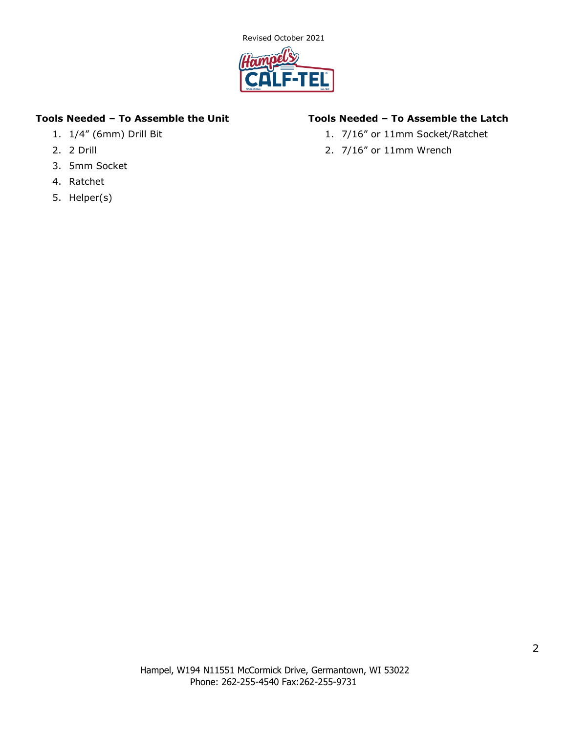

### **Tools Needed – To Assemble the Unit**

- 1. 1/4" (6mm) Drill Bit
- 2. 2 Drill
- 3. 5mm Socket
- 4. Ratchet
- 5. Helper(s)

### **Tools Needed – To Assemble the Latch**

- 1. 7/16" or 11mm Socket/Ratchet
- 2. 7/16" or 11mm Wrench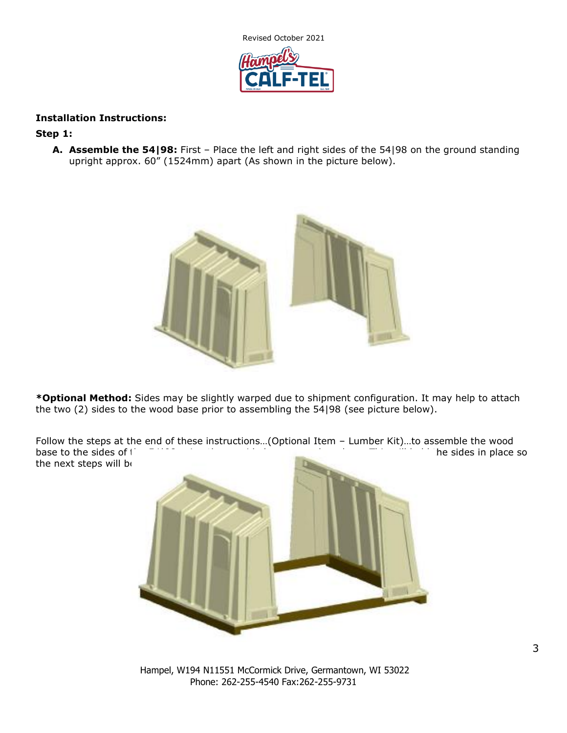

### **Installation Instructions:**

#### **Step 1:**

**A. Assemble the 54|98:** First – Place the left and right sides of the 54|98 on the ground standing upright approx. 60" (1524mm) apart (As shown in the picture below).



**\*Optional Method:** Sides may be slightly warped due to shipment configuration. It may help to attach the two (2) sides to the wood base prior to assembling the 54|98 (see picture below).

Follow the steps at the end of these instructions…(Optional Item – Lumber Kit)…to assemble the wood base to the sides of the  $\frac{1}{2}$  using the provided screws and washers. This will he sides in place so the next steps will be



Hampel, W194 N11551 McCormick Drive, Germantown, WI 53022 Phone: 262-255-4540 Fax:262-255-9731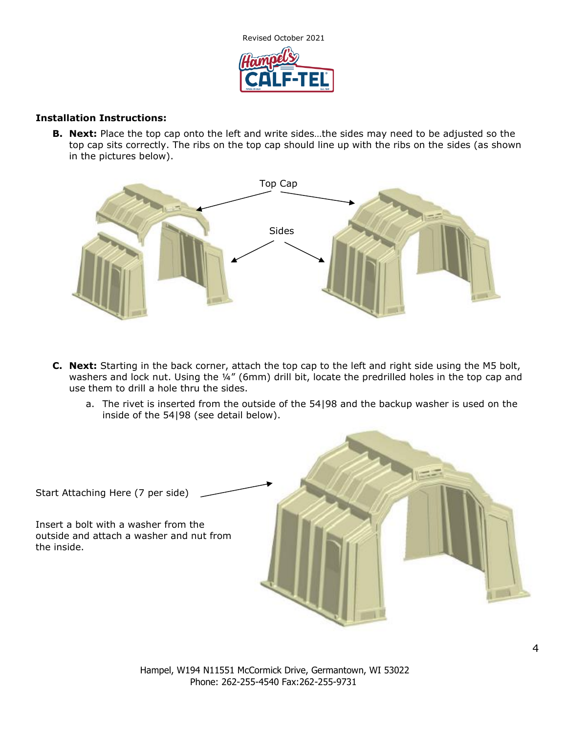

#### **Installation Instructions:**

**B. Next:** Place the top cap onto the left and write sides…the sides may need to be adjusted so the top cap sits correctly. The ribs on the top cap should line up with the ribs on the sides (as shown in the pictures below).



- **C. Next:** Starting in the back corner, attach the top cap to the left and right side using the M5 bolt, washers and lock nut. Using the ¼" (6mm) drill bit, locate the predrilled holes in the top cap and use them to drill a hole thru the sides.
	- a. The rivet is inserted from the outside of the 54|98 and the backup washer is used on the inside of the 54|98 (see detail below).

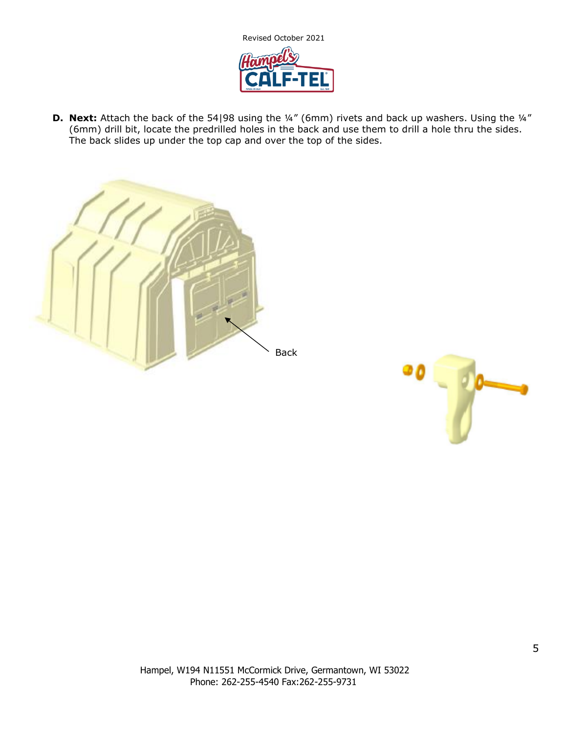

**D.** Next: Attach the back of the 54|98 using the ¼" (6mm) rivets and back up washers. Using the ¼" (6mm) drill bit, locate the predrilled holes in the back and use them to drill a hole thru the sides. The back slides up under the top cap and over the top of the sides.



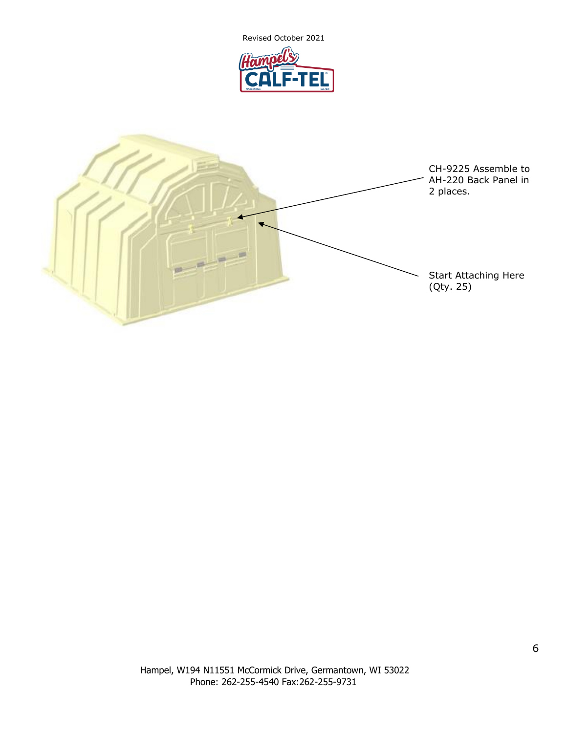

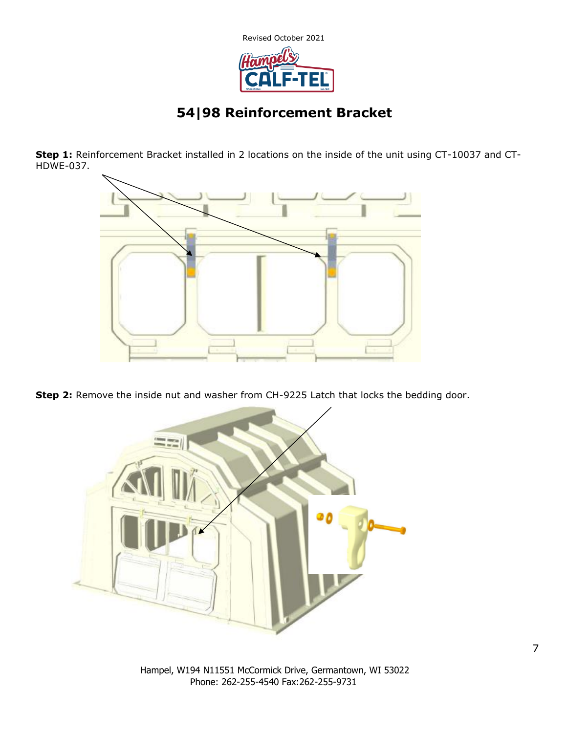

# **54|98 Reinforcement Bracket**

**Step 1:** Reinforcement Bracket installed in 2 locations on the inside of the unit using CT-10037 and CT-HDWE-037.



**Step 2:** Remove the inside nut and washer from CH-9225 Latch that locks the bedding door.



Hampel, W194 N11551 McCormick Drive, Germantown, WI 53022 Phone: 262-255-4540 Fax:262-255-9731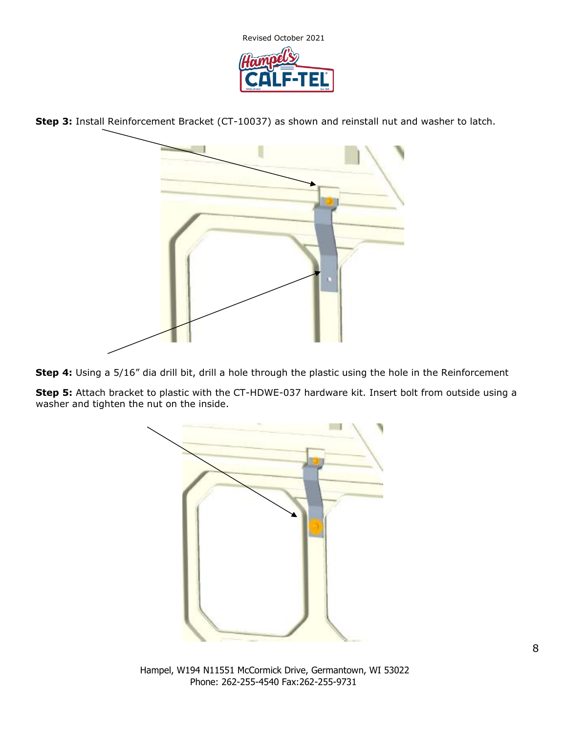

**Step 3:** Install Reinforcement Bracket (CT-10037) as shown and reinstall nut and washer to latch.



**Step 4:** Using a 5/16" dia drill bit, drill a hole through the plastic using the hole in the Reinforcement

**Step 5:** Attach bracket to plastic with the CT-HDWE-037 hardware kit. Insert bolt from outside using a washer and tighten the nut on the inside.



Hampel, W194 N11551 McCormick Drive, Germantown, WI 53022 Phone: 262-255-4540 Fax:262-255-9731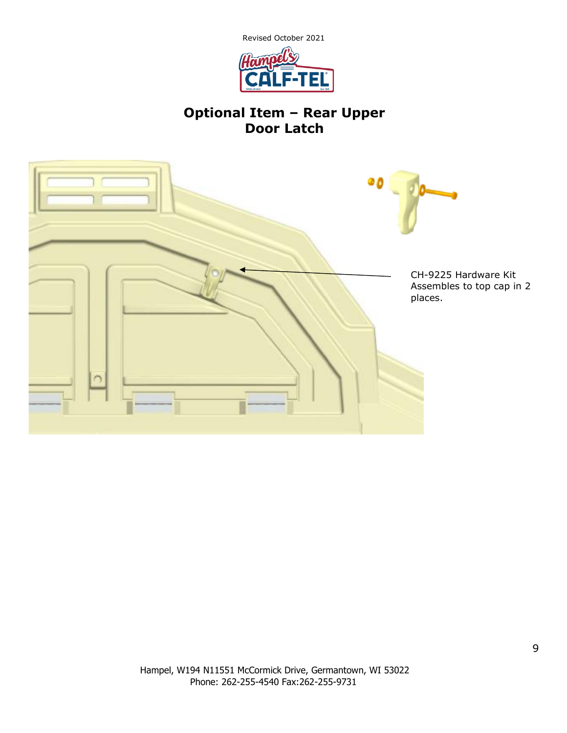

# **Optional Item – Rear Upper Door Latch**

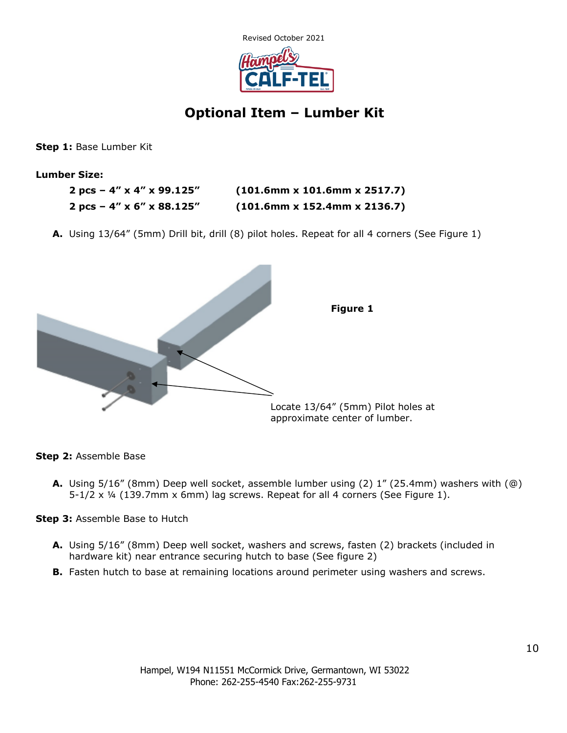

## **Optional Item – Lumber Kit**

**Step 1:** Base Lumber Kit

**Lumber Size:**

| 2 pcs – 4" x 4" x 99.125" | $(101.6$ mm x 101.6mm x 2517.7) |
|---------------------------|---------------------------------|
| 2 pcs – 4" x 6" x 88.125" | $(101.6$ mm x 152.4mm x 2136.7) |

**A.** Using 13/64" (5mm) Drill bit, drill (8) pilot holes. Repeat for all 4 corners (See Figure 1)



**Step 2:** Assemble Base

**A.** Using 5/16" (8mm) Deep well socket, assemble lumber using (2) 1" (25.4mm) washers with (@) 5-1/2 x ¼ (139.7mm x 6mm) lag screws. Repeat for all 4 corners (See Figure 1).

**Step 3:** Assemble Base to Hutch

- **A.** Using 5/16" (8mm) Deep well socket, washers and screws, fasten (2) brackets (included in hardware kit) near entrance securing hutch to base (See figure 2)
- **B.** Fasten hutch to base at remaining locations around perimeter using washers and screws.